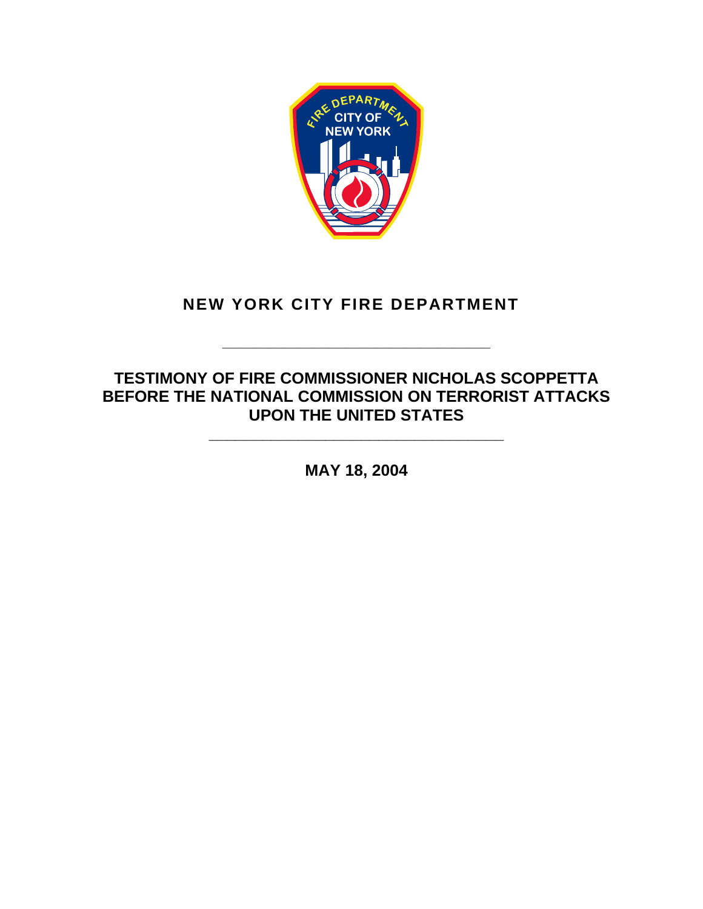

# **NEW YORK CITY FIRE DEPARTMENT**

## **TESTIMONY OF FIRE COMMISSIONER NICHOLAS SCOPPETTA BEFORE THE NATIONAL COMMISSION ON TERRORIST ATTACKS UPON THE UNITED STATES**

**\_\_\_\_\_\_\_\_\_\_\_\_\_\_\_\_\_\_\_\_\_\_\_\_\_\_\_\_\_\_\_\_\_** 

**\_\_\_\_\_\_\_\_\_\_\_\_\_\_\_\_\_\_\_\_\_\_\_\_\_\_\_\_\_\_\_\_\_\_\_** 

**MAY 18, 2004**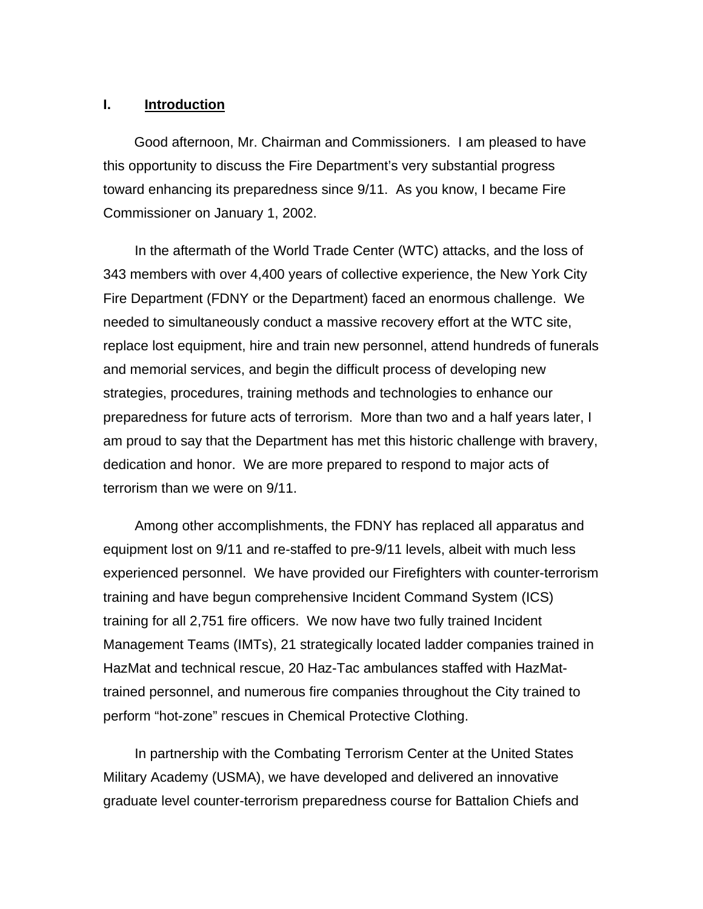#### **I. Introduction**

Good afternoon, Mr. Chairman and Commissioners. I am pleased to have this opportunity to discuss the Fire Department's very substantial progress toward enhancing its preparedness since 9/11. As you know, I became Fire Commissioner on January 1, 2002.

In the aftermath of the World Trade Center (WTC) attacks, and the loss of 343 members with over 4,400 years of collective experience, the New York City Fire Department (FDNY or the Department) faced an enormous challenge. We needed to simultaneously conduct a massive recovery effort at the WTC site, replace lost equipment, hire and train new personnel, attend hundreds of funerals and memorial services, and begin the difficult process of developing new strategies, procedures, training methods and technologies to enhance our preparedness for future acts of terrorism. More than two and a half years later, I am proud to say that the Department has met this historic challenge with bravery, dedication and honor. We are more prepared to respond to major acts of terrorism than we were on 9/11.

Among other accomplishments, the FDNY has replaced all apparatus and equipment lost on 9/11 and re-staffed to pre-9/11 levels, albeit with much less experienced personnel. We have provided our Firefighters with counter-terrorism training and have begun comprehensive Incident Command System (ICS) training for all 2,751 fire officers. We now have two fully trained Incident Management Teams (IMTs), 21 strategically located ladder companies trained in HazMat and technical rescue, 20 Haz-Tac ambulances staffed with HazMattrained personnel, and numerous fire companies throughout the City trained to perform "hot-zone" rescues in Chemical Protective Clothing.

In partnership with the Combating Terrorism Center at the United States Military Academy (USMA), we have developed and delivered an innovative graduate level counter-terrorism preparedness course for Battalion Chiefs and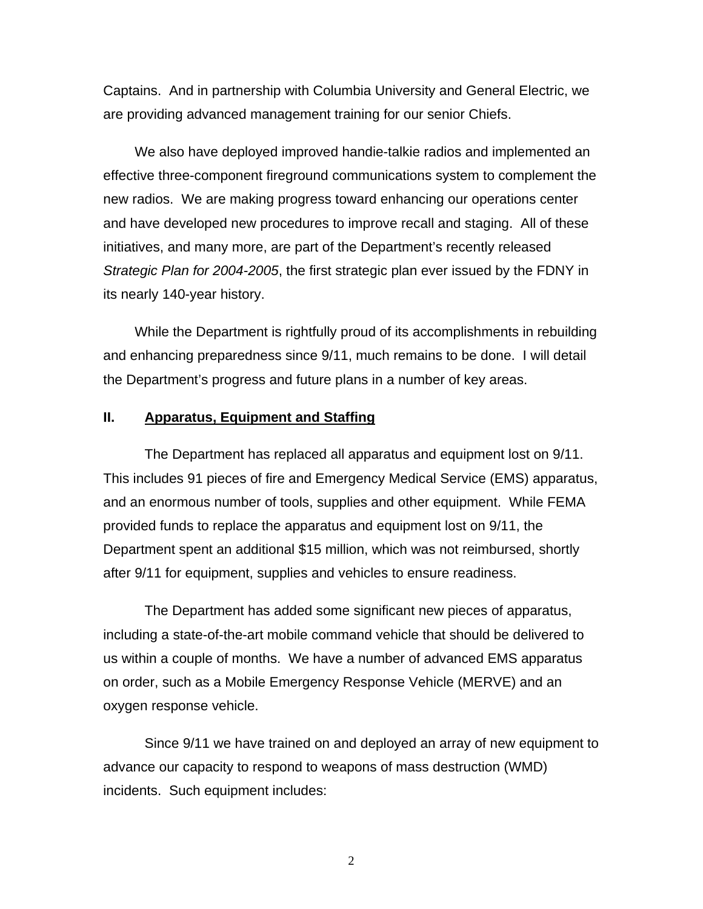Captains. And in partnership with Columbia University and General Electric, we are providing advanced management training for our senior Chiefs.

We also have deployed improved handie-talkie radios and implemented an effective three-component fireground communications system to complement the new radios. We are making progress toward enhancing our operations center and have developed new procedures to improve recall and staging. All of these initiatives, and many more, are part of the Department's recently released *Strategic Plan for 2004-2005*, the first strategic plan ever issued by the FDNY in its nearly 140-year history.

While the Department is rightfully proud of its accomplishments in rebuilding and enhancing preparedness since 9/11, much remains to be done. I will detail the Department's progress and future plans in a number of key areas.

#### **II. Apparatus, Equipment and Staffing**

The Department has replaced all apparatus and equipment lost on 9/11. This includes 91 pieces of fire and Emergency Medical Service (EMS) apparatus, and an enormous number of tools, supplies and other equipment. While FEMA provided funds to replace the apparatus and equipment lost on 9/11, the Department spent an additional \$15 million, which was not reimbursed, shortly after 9/11 for equipment, supplies and vehicles to ensure readiness.

The Department has added some significant new pieces of apparatus, including a state-of-the-art mobile command vehicle that should be delivered to us within a couple of months. We have a number of advanced EMS apparatus on order, such as a Mobile Emergency Response Vehicle (MERVE) and an oxygen response vehicle.

Since 9/11 we have trained on and deployed an array of new equipment to advance our capacity to respond to weapons of mass destruction (WMD) incidents. Such equipment includes: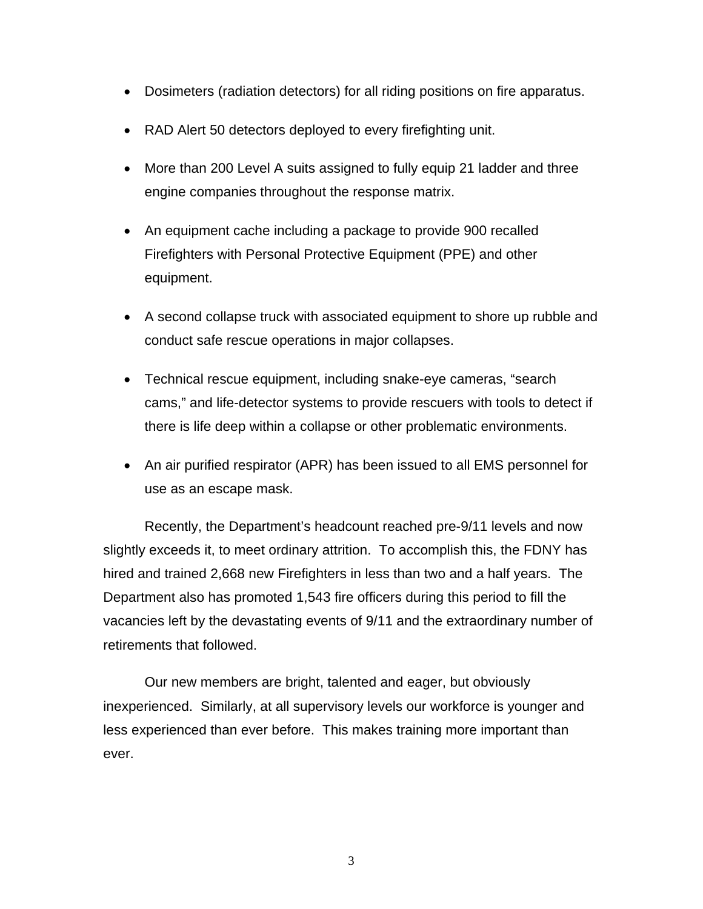- Dosimeters (radiation detectors) for all riding positions on fire apparatus.
- RAD Alert 50 detectors deployed to every firefighting unit.
- More than 200 Level A suits assigned to fully equip 21 ladder and three engine companies throughout the response matrix.
- An equipment cache including a package to provide 900 recalled Firefighters with Personal Protective Equipment (PPE) and other equipment.
- A second collapse truck with associated equipment to shore up rubble and conduct safe rescue operations in major collapses.
- Technical rescue equipment, including snake-eye cameras, "search cams," and life-detector systems to provide rescuers with tools to detect if there is life deep within a collapse or other problematic environments.
- An air purified respirator (APR) has been issued to all EMS personnel for use as an escape mask.

Recently, the Department's headcount reached pre-9/11 levels and now slightly exceeds it, to meet ordinary attrition. To accomplish this, the FDNY has hired and trained 2,668 new Firefighters in less than two and a half years. The Department also has promoted 1,543 fire officers during this period to fill the vacancies left by the devastating events of 9/11 and the extraordinary number of retirements that followed.

Our new members are bright, talented and eager, but obviously inexperienced. Similarly, at all supervisory levels our workforce is younger and less experienced than ever before. This makes training more important than ever.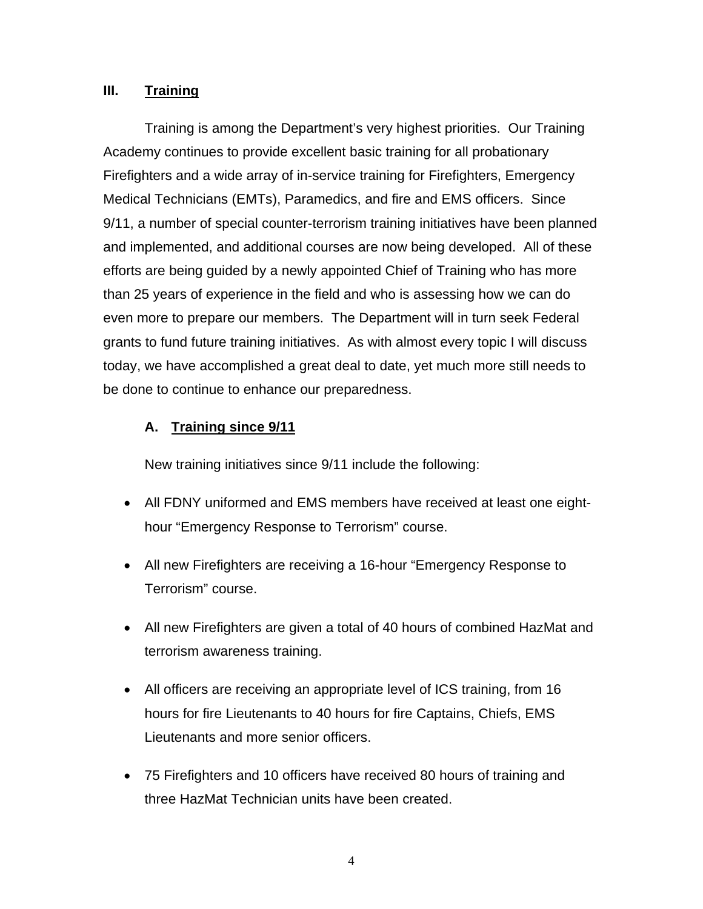## **III. Training**

Training is among the Department's very highest priorities. Our Training Academy continues to provide excellent basic training for all probationary Firefighters and a wide array of in-service training for Firefighters, Emergency Medical Technicians (EMTs), Paramedics, and fire and EMS officers. Since 9/11, a number of special counter-terrorism training initiatives have been planned and implemented, and additional courses are now being developed. All of these efforts are being guided by a newly appointed Chief of Training who has more than 25 years of experience in the field and who is assessing how we can do even more to prepare our members. The Department will in turn seek Federal grants to fund future training initiatives. As with almost every topic I will discuss today, we have accomplished a great deal to date, yet much more still needs to be done to continue to enhance our preparedness.

## **A. Training since 9/11**

New training initiatives since 9/11 include the following:

- All FDNY uniformed and EMS members have received at least one eighthour "Emergency Response to Terrorism" course.
- All new Firefighters are receiving a 16-hour "Emergency Response to Terrorism" course.
- All new Firefighters are given a total of 40 hours of combined HazMat and terrorism awareness training.
- All officers are receiving an appropriate level of ICS training, from 16 hours for fire Lieutenants to 40 hours for fire Captains, Chiefs, EMS Lieutenants and more senior officers.
- 75 Firefighters and 10 officers have received 80 hours of training and three HazMat Technician units have been created.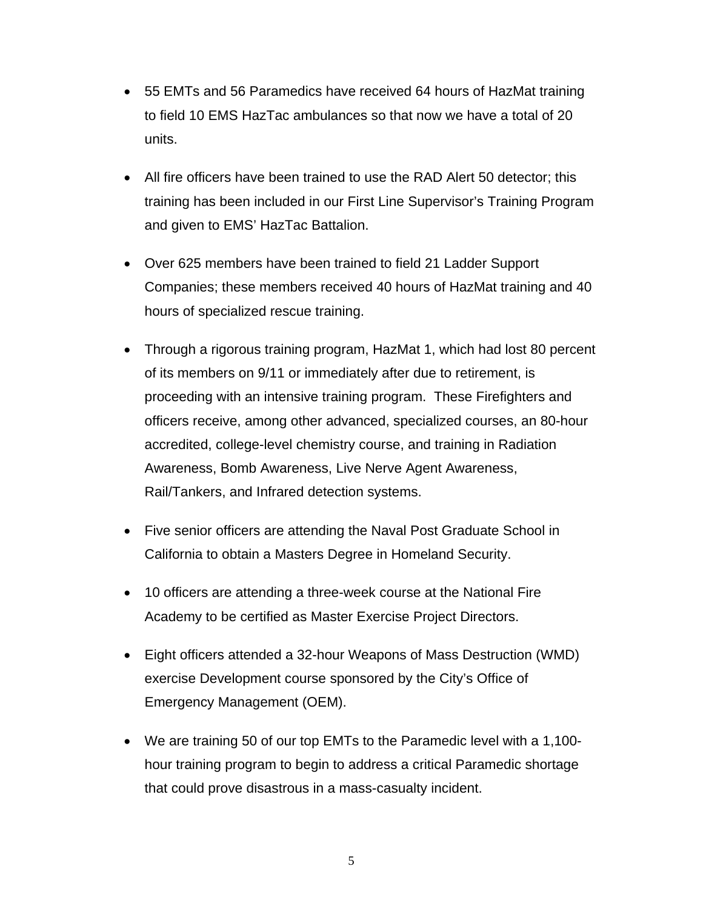- 55 EMTs and 56 Paramedics have received 64 hours of HazMat training to field 10 EMS HazTac ambulances so that now we have a total of 20 units.
- All fire officers have been trained to use the RAD Alert 50 detector; this training has been included in our First Line Supervisor's Training Program and given to EMS' HazTac Battalion.
- Over 625 members have been trained to field 21 Ladder Support Companies; these members received 40 hours of HazMat training and 40 hours of specialized rescue training.
- Through a rigorous training program, HazMat 1, which had lost 80 percent of its members on 9/11 or immediately after due to retirement, is proceeding with an intensive training program. These Firefighters and officers receive, among other advanced, specialized courses, an 80-hour accredited, college-level chemistry course, and training in Radiation Awareness, Bomb Awareness, Live Nerve Agent Awareness, Rail/Tankers, and Infrared detection systems.
- Five senior officers are attending the Naval Post Graduate School in California to obtain a Masters Degree in Homeland Security.
- 10 officers are attending a three-week course at the National Fire Academy to be certified as Master Exercise Project Directors.
- Eight officers attended a 32-hour Weapons of Mass Destruction (WMD) exercise Development course sponsored by the City's Office of Emergency Management (OEM).
- We are training 50 of our top EMTs to the Paramedic level with a 1,100 hour training program to begin to address a critical Paramedic shortage that could prove disastrous in a mass-casualty incident.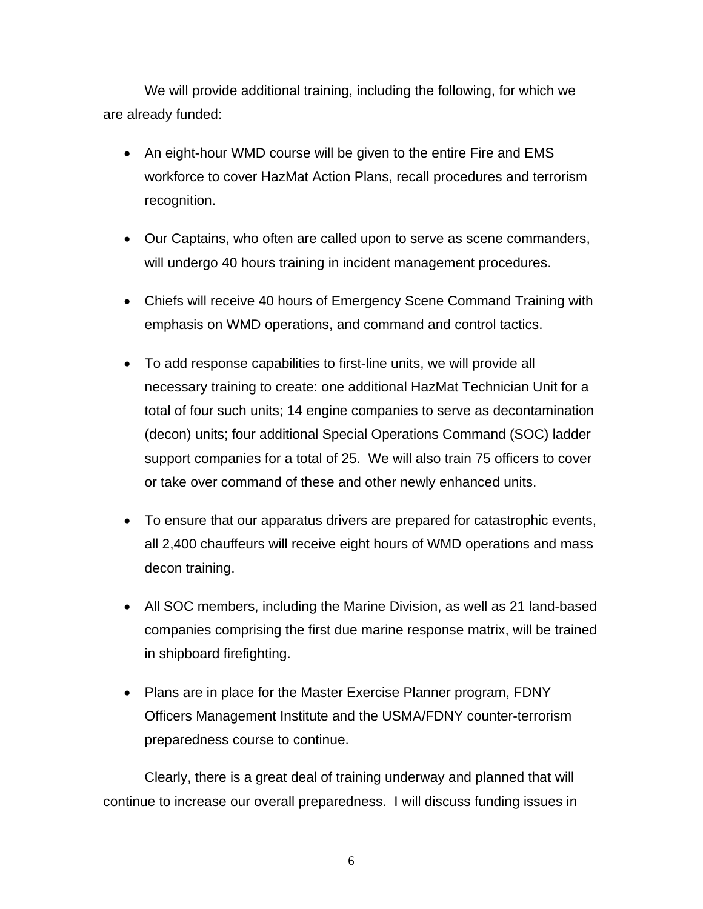We will provide additional training, including the following, for which we are already funded:

- An eight-hour WMD course will be given to the entire Fire and EMS workforce to cover HazMat Action Plans, recall procedures and terrorism recognition.
- Our Captains, who often are called upon to serve as scene commanders, will undergo 40 hours training in incident management procedures.
- Chiefs will receive 40 hours of Emergency Scene Command Training with emphasis on WMD operations, and command and control tactics.
- To add response capabilities to first-line units, we will provide all necessary training to create: one additional HazMat Technician Unit for a total of four such units; 14 engine companies to serve as decontamination (decon) units; four additional Special Operations Command (SOC) ladder support companies for a total of 25. We will also train 75 officers to cover or take over command of these and other newly enhanced units.
- To ensure that our apparatus drivers are prepared for catastrophic events, all 2,400 chauffeurs will receive eight hours of WMD operations and mass decon training.
- All SOC members, including the Marine Division, as well as 21 land-based companies comprising the first due marine response matrix, will be trained in shipboard firefighting.
- Plans are in place for the Master Exercise Planner program, FDNY Officers Management Institute and the USMA/FDNY counter-terrorism preparedness course to continue.

Clearly, there is a great deal of training underway and planned that will continue to increase our overall preparedness. I will discuss funding issues in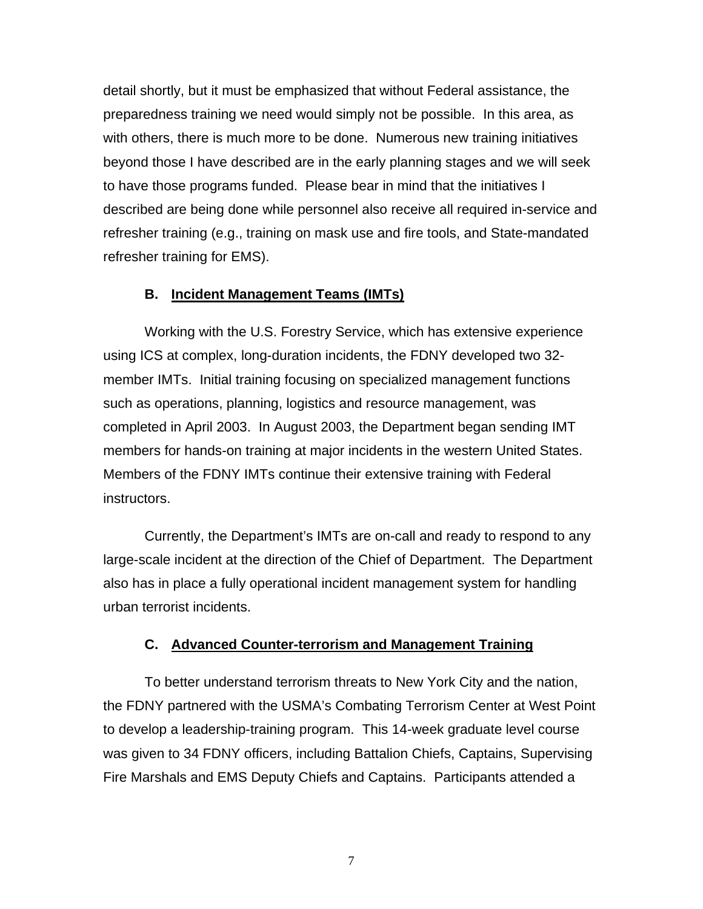detail shortly, but it must be emphasized that without Federal assistance, the preparedness training we need would simply not be possible. In this area, as with others, there is much more to be done. Numerous new training initiatives beyond those I have described are in the early planning stages and we will seek to have those programs funded. Please bear in mind that the initiatives I described are being done while personnel also receive all required in-service and refresher training (e.g., training on mask use and fire tools, and State-mandated refresher training for EMS).

#### **B. Incident Management Teams (IMTs)**

Working with the U.S. Forestry Service, which has extensive experience using ICS at complex, long-duration incidents, the FDNY developed two 32 member IMTs. Initial training focusing on specialized management functions such as operations, planning, logistics and resource management, was completed in April 2003. In August 2003, the Department began sending IMT members for hands-on training at major incidents in the western United States. Members of the FDNY IMTs continue their extensive training with Federal instructors.

Currently, the Department's IMTs are on-call and ready to respond to any large-scale incident at the direction of the Chief of Department. The Department also has in place a fully operational incident management system for handling urban terrorist incidents.

#### **C. Advanced Counter-terrorism and Management Training**

To better understand terrorism threats to New York City and the nation, the FDNY partnered with the USMA's Combating Terrorism Center at West Point to develop a leadership-training program. This 14-week graduate level course was given to 34 FDNY officers, including Battalion Chiefs, Captains, Supervising Fire Marshals and EMS Deputy Chiefs and Captains. Participants attended a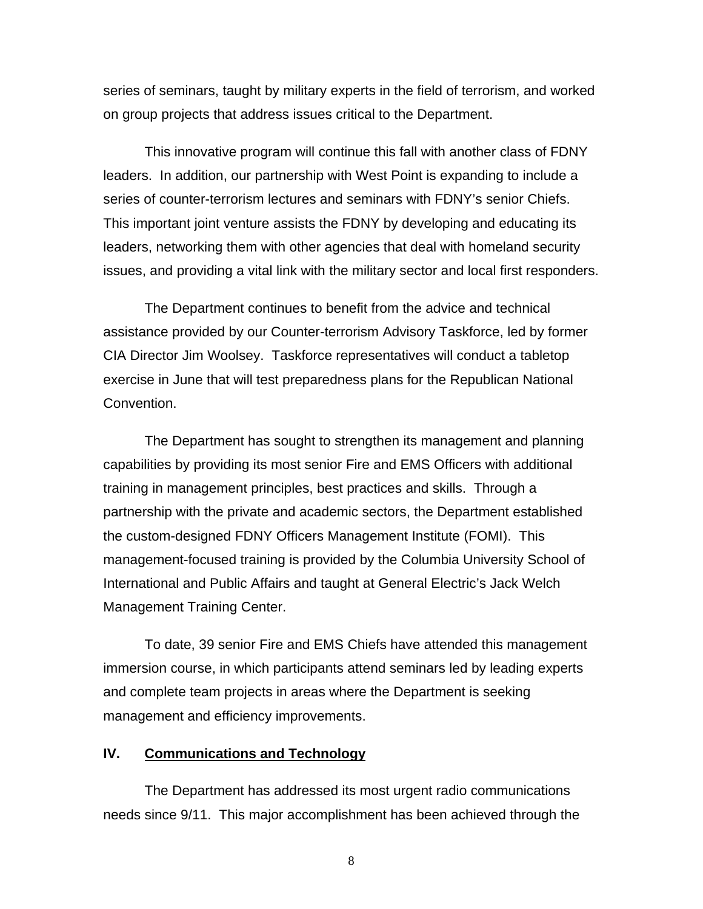series of seminars, taught by military experts in the field of terrorism, and worked on group projects that address issues critical to the Department.

This innovative program will continue this fall with another class of FDNY leaders. In addition, our partnership with West Point is expanding to include a series of counter-terrorism lectures and seminars with FDNY's senior Chiefs. This important joint venture assists the FDNY by developing and educating its leaders, networking them with other agencies that deal with homeland security issues, and providing a vital link with the military sector and local first responders.

The Department continues to benefit from the advice and technical assistance provided by our Counter-terrorism Advisory Taskforce, led by former CIA Director Jim Woolsey. Taskforce representatives will conduct a tabletop exercise in June that will test preparedness plans for the Republican National Convention.

The Department has sought to strengthen its management and planning capabilities by providing its most senior Fire and EMS Officers with additional training in management principles, best practices and skills. Through a partnership with the private and academic sectors, the Department established the custom-designed FDNY Officers Management Institute (FOMI). This management-focused training is provided by the Columbia University School of International and Public Affairs and taught at General Electric's Jack Welch Management Training Center.

To date, 39 senior Fire and EMS Chiefs have attended this management immersion course, in which participants attend seminars led by leading experts and complete team projects in areas where the Department is seeking management and efficiency improvements.

#### **IV. Communications and Technology**

The Department has addressed its most urgent radio communications needs since 9/11. This major accomplishment has been achieved through the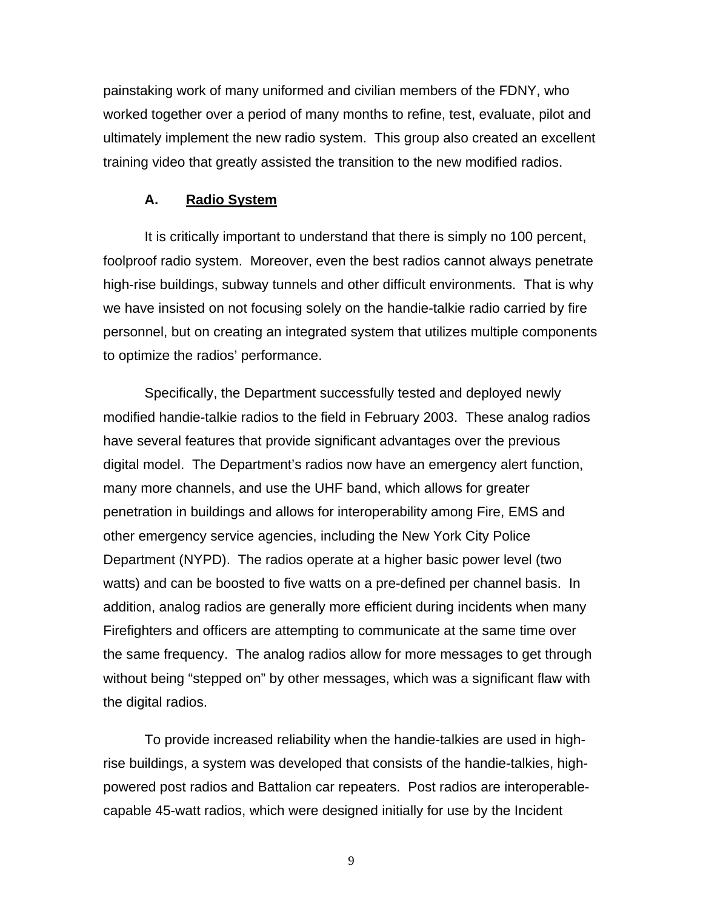painstaking work of many uniformed and civilian members of the FDNY, who worked together over a period of many months to refine, test, evaluate, pilot and ultimately implement the new radio system. This group also created an excellent training video that greatly assisted the transition to the new modified radios.

#### **A. Radio System**

It is critically important to understand that there is simply no 100 percent, foolproof radio system. Moreover, even the best radios cannot always penetrate high-rise buildings, subway tunnels and other difficult environments. That is why we have insisted on not focusing solely on the handie-talkie radio carried by fire personnel, but on creating an integrated system that utilizes multiple components to optimize the radios' performance.

Specifically, the Department successfully tested and deployed newly modified handie-talkie radios to the field in February 2003. These analog radios have several features that provide significant advantages over the previous digital model. The Department's radios now have an emergency alert function, many more channels, and use the UHF band, which allows for greater penetration in buildings and allows for interoperability among Fire, EMS and other emergency service agencies, including the New York City Police Department (NYPD). The radios operate at a higher basic power level (two watts) and can be boosted to five watts on a pre-defined per channel basis. In addition, analog radios are generally more efficient during incidents when many Firefighters and officers are attempting to communicate at the same time over the same frequency. The analog radios allow for more messages to get through without being "stepped on" by other messages, which was a significant flaw with the digital radios.

To provide increased reliability when the handie-talkies are used in highrise buildings, a system was developed that consists of the handie-talkies, highpowered post radios and Battalion car repeaters. Post radios are interoperablecapable 45-watt radios, which were designed initially for use by the Incident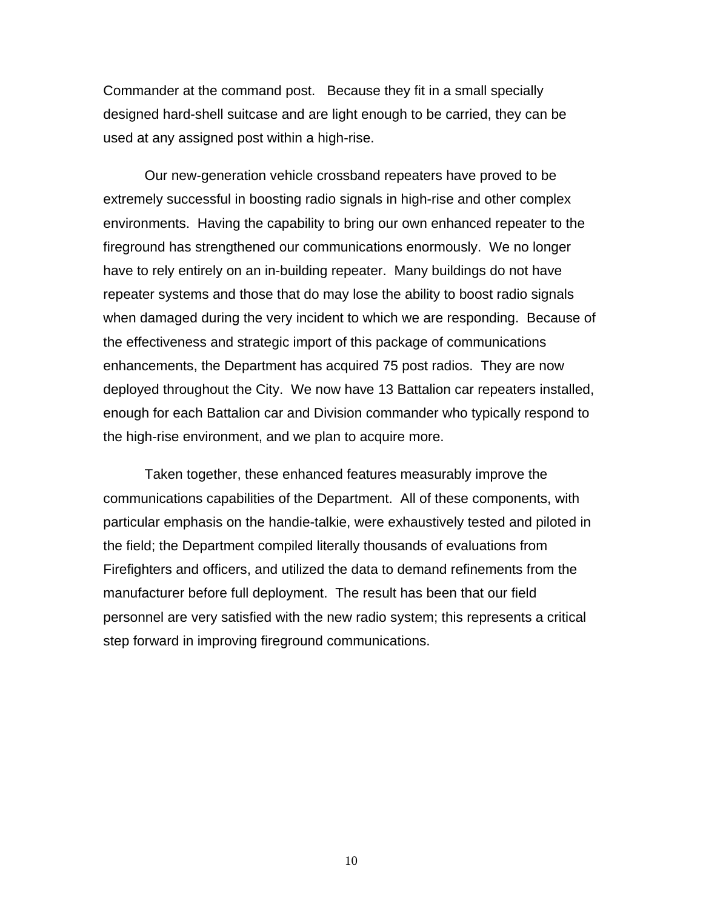Commander at the command post. Because they fit in a small specially designed hard-shell suitcase and are light enough to be carried, they can be used at any assigned post within a high-rise.

Our new-generation vehicle crossband repeaters have proved to be extremely successful in boosting radio signals in high-rise and other complex environments. Having the capability to bring our own enhanced repeater to the fireground has strengthened our communications enormously. We no longer have to rely entirely on an in-building repeater. Many buildings do not have repeater systems and those that do may lose the ability to boost radio signals when damaged during the very incident to which we are responding. Because of the effectiveness and strategic import of this package of communications enhancements, the Department has acquired 75 post radios. They are now deployed throughout the City. We now have 13 Battalion car repeaters installed, enough for each Battalion car and Division commander who typically respond to the high-rise environment, and we plan to acquire more.

Taken together, these enhanced features measurably improve the communications capabilities of the Department. All of these components, with particular emphasis on the handie-talkie, were exhaustively tested and piloted in the field; the Department compiled literally thousands of evaluations from Firefighters and officers, and utilized the data to demand refinements from the manufacturer before full deployment. The result has been that our field personnel are very satisfied with the new radio system; this represents a critical step forward in improving fireground communications.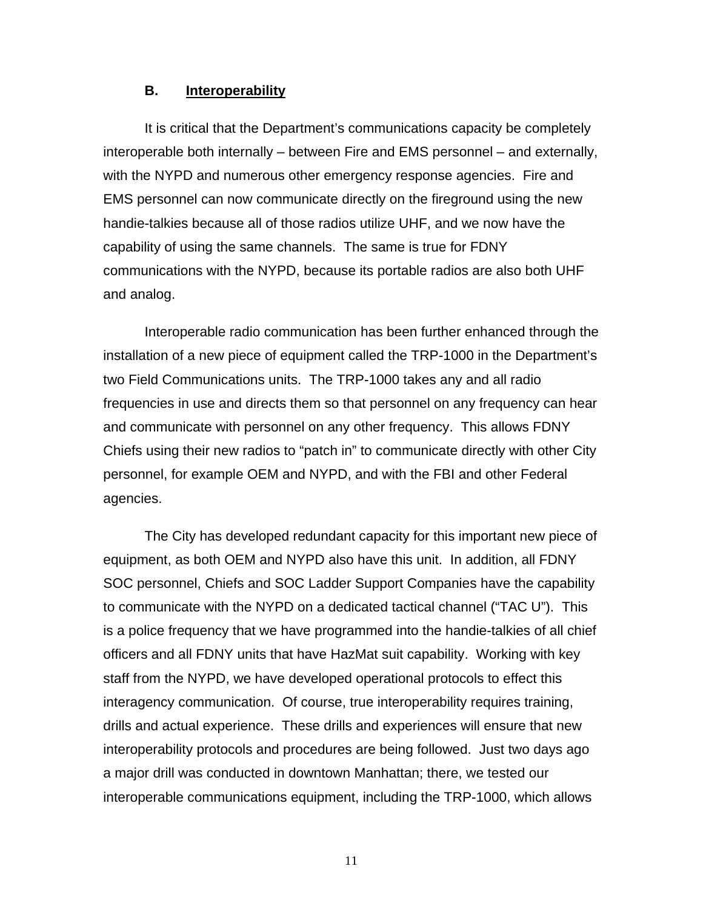#### **B. Interoperability**

It is critical that the Department's communications capacity be completely interoperable both internally – between Fire and EMS personnel – and externally, with the NYPD and numerous other emergency response agencies. Fire and EMS personnel can now communicate directly on the fireground using the new handie-talkies because all of those radios utilize UHF, and we now have the capability of using the same channels. The same is true for FDNY communications with the NYPD, because its portable radios are also both UHF and analog.

Interoperable radio communication has been further enhanced through the installation of a new piece of equipment called the TRP-1000 in the Department's two Field Communications units. The TRP-1000 takes any and all radio frequencies in use and directs them so that personnel on any frequency can hear and communicate with personnel on any other frequency. This allows FDNY Chiefs using their new radios to "patch in" to communicate directly with other City personnel, for example OEM and NYPD, and with the FBI and other Federal agencies.

The City has developed redundant capacity for this important new piece of equipment, as both OEM and NYPD also have this unit. In addition, all FDNY SOC personnel, Chiefs and SOC Ladder Support Companies have the capability to communicate with the NYPD on a dedicated tactical channel ("TAC U"). This is a police frequency that we have programmed into the handie-talkies of all chief officers and all FDNY units that have HazMat suit capability. Working with key staff from the NYPD, we have developed operational protocols to effect this interagency communication. Of course, true interoperability requires training, drills and actual experience. These drills and experiences will ensure that new interoperability protocols and procedures are being followed. Just two days ago a major drill was conducted in downtown Manhattan; there, we tested our interoperable communications equipment, including the TRP-1000, which allows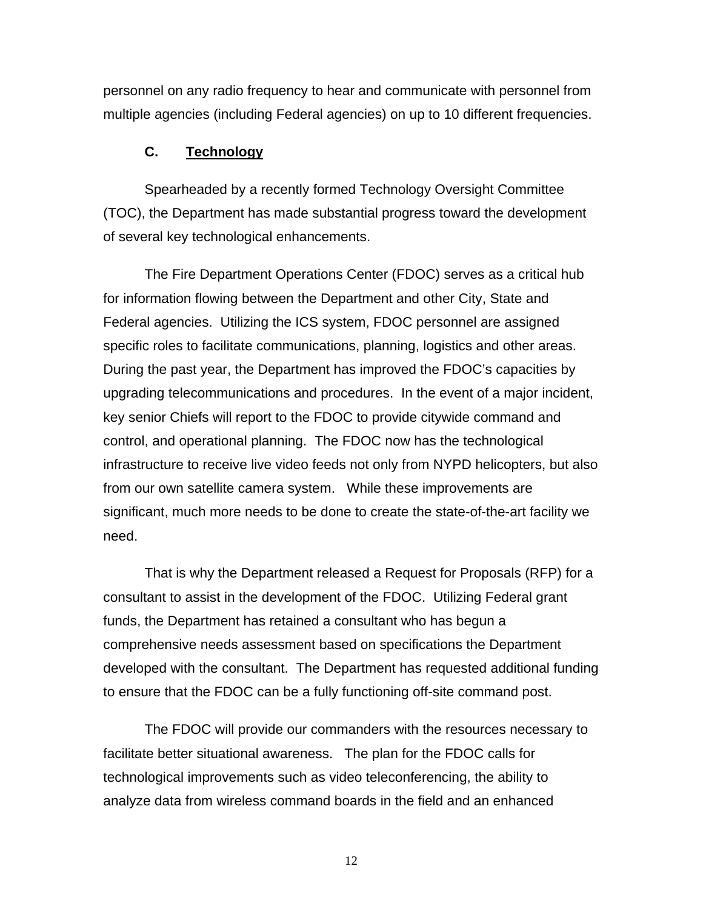personnel on any radio frequency to hear and communicate with personnel from multiple agencies (including Federal agencies) on up to 10 different frequencies.

## **C. Technology**

Spearheaded by a recently formed Technology Oversight Committee (TOC), the Department has made substantial progress toward the development of several key technological enhancements.

The Fire Department Operations Center (FDOC) serves as a critical hub for information flowing between the Department and other City, State and Federal agencies. Utilizing the ICS system, FDOC personnel are assigned specific roles to facilitate communications, planning, logistics and other areas. During the past year, the Department has improved the FDOC's capacities by upgrading telecommunications and procedures. In the event of a major incident, key senior Chiefs will report to the FDOC to provide citywide command and control, and operational planning. The FDOC now has the technological infrastructure to receive live video feeds not only from NYPD helicopters, but also from our own satellite camera system. While these improvements are significant, much more needs to be done to create the state-of-the-art facility we need.

That is why the Department released a Request for Proposals (RFP) for a consultant to assist in the development of the FDOC. Utilizing Federal grant funds, the Department has retained a consultant who has begun a comprehensive needs assessment based on specifications the Department developed with the consultant. The Department has requested additional funding to ensure that the FDOC can be a fully functioning off-site command post.

The FDOC will provide our commanders with the resources necessary to facilitate better situational awareness. The plan for the FDOC calls for technological improvements such as video teleconferencing, the ability to analyze data from wireless command boards in the field and an enhanced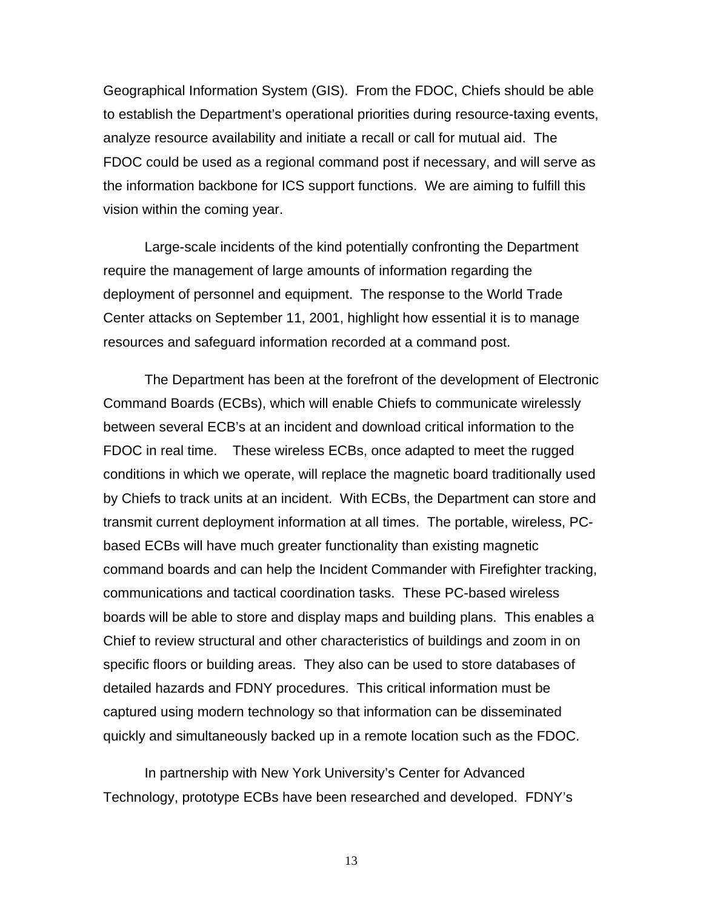Geographical Information System (GIS). From the FDOC, Chiefs should be able to establish the Department's operational priorities during resource-taxing events, analyze resource availability and initiate a recall or call for mutual aid. The FDOC could be used as a regional command post if necessary, and will serve as the information backbone for ICS support functions. We are aiming to fulfill this vision within the coming year.

Large-scale incidents of the kind potentially confronting the Department require the management of large amounts of information regarding the deployment of personnel and equipment. The response to the World Trade Center attacks on September 11, 2001, highlight how essential it is to manage resources and safeguard information recorded at a command post.

The Department has been at the forefront of the development of Electronic Command Boards (ECBs), which will enable Chiefs to communicate wirelessly between several ECB's at an incident and download critical information to the FDOC in real time. These wireless ECBs, once adapted to meet the rugged conditions in which we operate, will replace the magnetic board traditionally used by Chiefs to track units at an incident. With ECBs, the Department can store and transmit current deployment information at all times. The portable, wireless, PCbased ECBs will have much greater functionality than existing magnetic command boards and can help the Incident Commander with Firefighter tracking, communications and tactical coordination tasks. These PC-based wireless boards will be able to store and display maps and building plans. This enables a Chief to review structural and other characteristics of buildings and zoom in on specific floors or building areas. They also can be used to store databases of detailed hazards and FDNY procedures. This critical information must be captured using modern technology so that information can be disseminated quickly and simultaneously backed up in a remote location such as the FDOC.

In partnership with New York University's Center for Advanced Technology, prototype ECBs have been researched and developed. FDNY's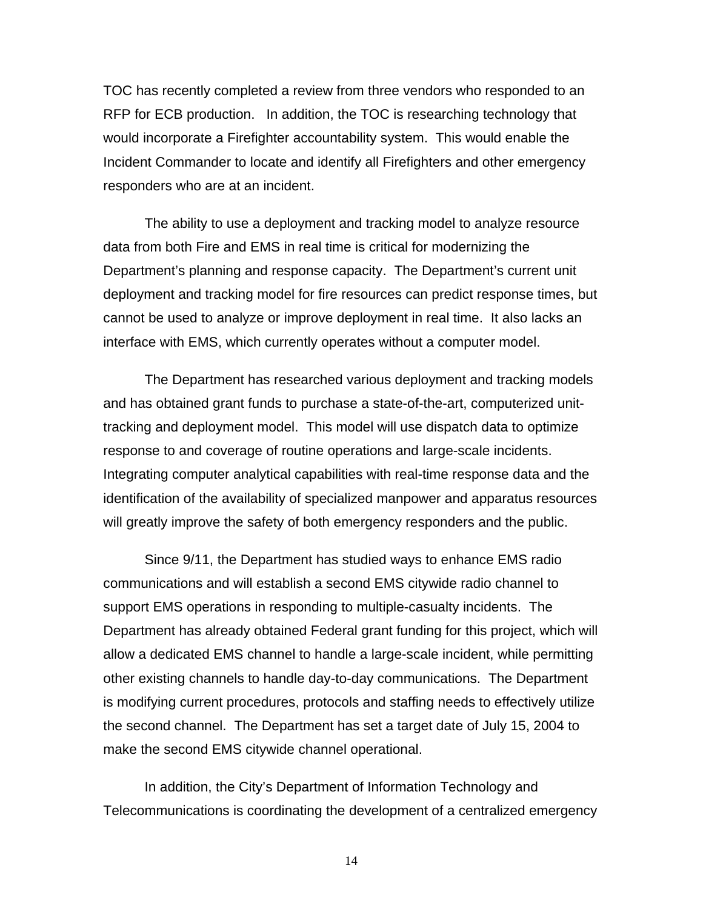TOC has recently completed a review from three vendors who responded to an RFP for ECB production. In addition, the TOC is researching technology that would incorporate a Firefighter accountability system. This would enable the Incident Commander to locate and identify all Firefighters and other emergency responders who are at an incident.

The ability to use a deployment and tracking model to analyze resource data from both Fire and EMS in real time is critical for modernizing the Department's planning and response capacity. The Department's current unit deployment and tracking model for fire resources can predict response times, but cannot be used to analyze or improve deployment in real time. It also lacks an interface with EMS, which currently operates without a computer model.

The Department has researched various deployment and tracking models and has obtained grant funds to purchase a state-of-the-art, computerized unittracking and deployment model. This model will use dispatch data to optimize response to and coverage of routine operations and large-scale incidents. Integrating computer analytical capabilities with real-time response data and the identification of the availability of specialized manpower and apparatus resources will greatly improve the safety of both emergency responders and the public.

Since 9/11, the Department has studied ways to enhance EMS radio communications and will establish a second EMS citywide radio channel to support EMS operations in responding to multiple-casualty incidents. The Department has already obtained Federal grant funding for this project, which will allow a dedicated EMS channel to handle a large-scale incident, while permitting other existing channels to handle day-to-day communications. The Department is modifying current procedures, protocols and staffing needs to effectively utilize the second channel. The Department has set a target date of July 15, 2004 to make the second EMS citywide channel operational.

In addition, the City's Department of Information Technology and Telecommunications is coordinating the development of a centralized emergency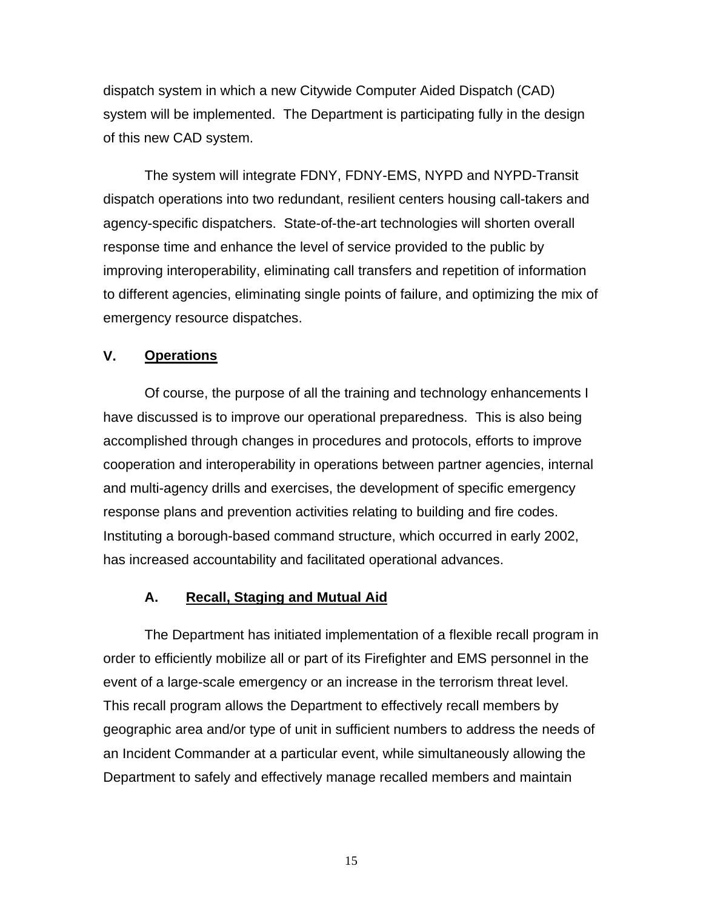dispatch system in which a new Citywide Computer Aided Dispatch (CAD) system will be implemented. The Department is participating fully in the design of this new CAD system.

The system will integrate FDNY, FDNY-EMS, NYPD and NYPD-Transit dispatch operations into two redundant, resilient centers housing call-takers and agency-specific dispatchers. State-of-the-art technologies will shorten overall response time and enhance the level of service provided to the public by improving interoperability, eliminating call transfers and repetition of information to different agencies, eliminating single points of failure, and optimizing the mix of emergency resource dispatches.

#### **V. Operations**

Of course, the purpose of all the training and technology enhancements I have discussed is to improve our operational preparedness. This is also being accomplished through changes in procedures and protocols, efforts to improve cooperation and interoperability in operations between partner agencies, internal and multi-agency drills and exercises, the development of specific emergency response plans and prevention activities relating to building and fire codes. Instituting a borough-based command structure, which occurred in early 2002, has increased accountability and facilitated operational advances.

### **A. Recall, Staging and Mutual Aid**

The Department has initiated implementation of a flexible recall program in order to efficiently mobilize all or part of its Firefighter and EMS personnel in the event of a large-scale emergency or an increase in the terrorism threat level. This recall program allows the Department to effectively recall members by geographic area and/or type of unit in sufficient numbers to address the needs of an Incident Commander at a particular event, while simultaneously allowing the Department to safely and effectively manage recalled members and maintain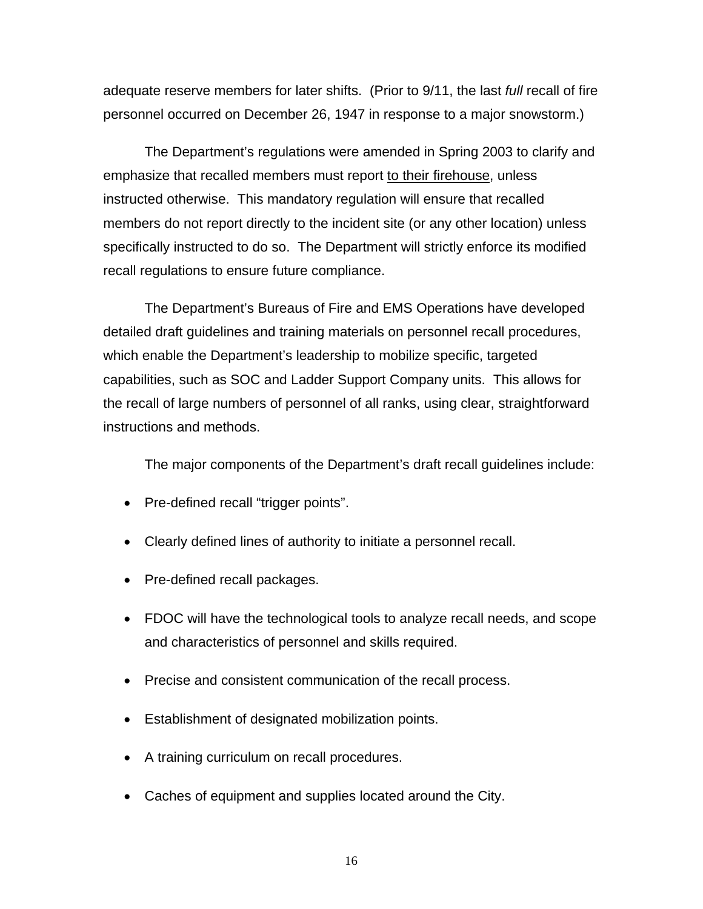adequate reserve members for later shifts. (Prior to 9/11, the last *full* recall of fire personnel occurred on December 26, 1947 in response to a major snowstorm.)

The Department's regulations were amended in Spring 2003 to clarify and emphasize that recalled members must report to their firehouse, unless instructed otherwise. This mandatory regulation will ensure that recalled members do not report directly to the incident site (or any other location) unless specifically instructed to do so. The Department will strictly enforce its modified recall regulations to ensure future compliance.

The Department's Bureaus of Fire and EMS Operations have developed detailed draft guidelines and training materials on personnel recall procedures, which enable the Department's leadership to mobilize specific, targeted capabilities, such as SOC and Ladder Support Company units. This allows for the recall of large numbers of personnel of all ranks, using clear, straightforward instructions and methods.

The major components of the Department's draft recall guidelines include:

- Pre-defined recall "trigger points".
- Clearly defined lines of authority to initiate a personnel recall.
- Pre-defined recall packages.
- FDOC will have the technological tools to analyze recall needs, and scope and characteristics of personnel and skills required.
- Precise and consistent communication of the recall process.
- Establishment of designated mobilization points.
- A training curriculum on recall procedures.
- Caches of equipment and supplies located around the City.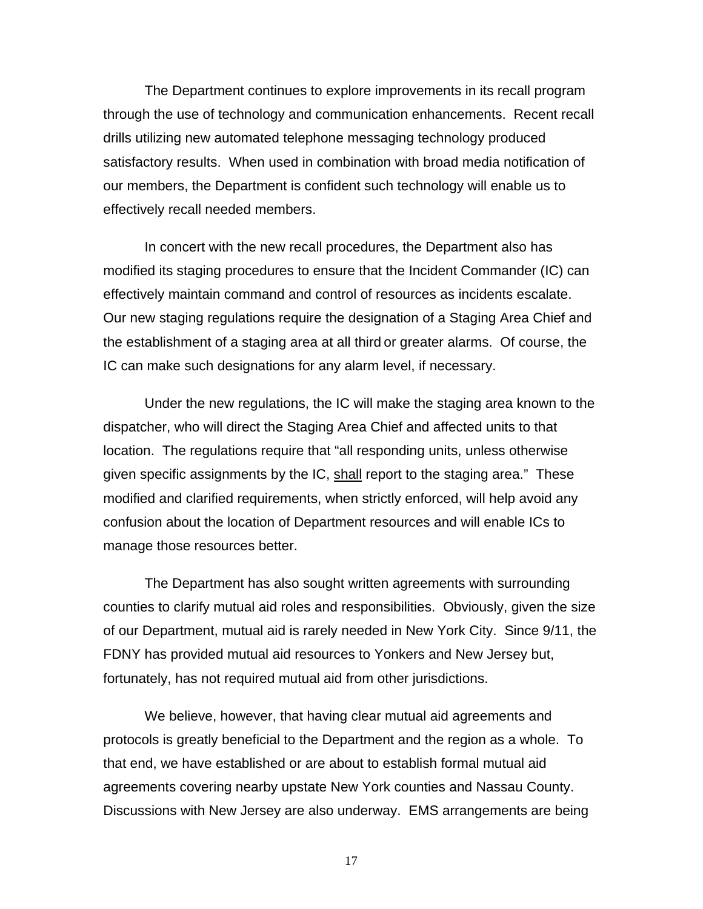The Department continues to explore improvements in its recall program through the use of technology and communication enhancements. Recent recall drills utilizing new automated telephone messaging technology produced satisfactory results. When used in combination with broad media notification of our members, the Department is confident such technology will enable us to effectively recall needed members.

In concert with the new recall procedures, the Department also has modified its staging procedures to ensure that the Incident Commander (IC) can effectively maintain command and control of resources as incidents escalate. Our new staging regulations require the designation of a Staging Area Chief and the establishment of a staging area at all third or greater alarms. Of course, the IC can make such designations for any alarm level, if necessary.

Under the new regulations, the IC will make the staging area known to the dispatcher, who will direct the Staging Area Chief and affected units to that location. The regulations require that "all responding units, unless otherwise given specific assignments by the IC, shall report to the staging area." These modified and clarified requirements, when strictly enforced, will help avoid any confusion about the location of Department resources and will enable ICs to manage those resources better.

The Department has also sought written agreements with surrounding counties to clarify mutual aid roles and responsibilities. Obviously, given the size of our Department, mutual aid is rarely needed in New York City. Since 9/11, the FDNY has provided mutual aid resources to Yonkers and New Jersey but, fortunately, has not required mutual aid from other jurisdictions.

We believe, however, that having clear mutual aid agreements and protocols is greatly beneficial to the Department and the region as a whole. To that end, we have established or are about to establish formal mutual aid agreements covering nearby upstate New York counties and Nassau County. Discussions with New Jersey are also underway. EMS arrangements are being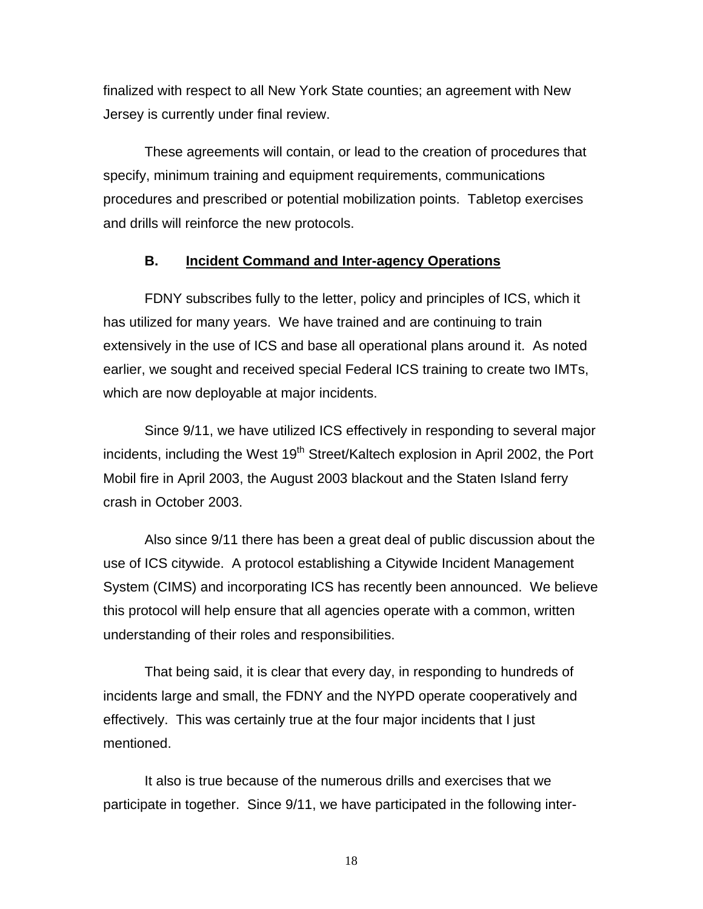finalized with respect to all New York State counties; an agreement with New Jersey is currently under final review.

These agreements will contain, or lead to the creation of procedures that specify, minimum training and equipment requirements, communications procedures and prescribed or potential mobilization points. Tabletop exercises and drills will reinforce the new protocols.

#### **B. Incident Command and Inter-agency Operations**

FDNY subscribes fully to the letter, policy and principles of ICS, which it has utilized for many years. We have trained and are continuing to train extensively in the use of ICS and base all operational plans around it. As noted earlier, we sought and received special Federal ICS training to create two IMTs, which are now deployable at major incidents.

Since 9/11, we have utilized ICS effectively in responding to several major incidents, including the West 19<sup>th</sup> Street/Kaltech explosion in April 2002, the Port Mobil fire in April 2003, the August 2003 blackout and the Staten Island ferry crash in October 2003.

Also since 9/11 there has been a great deal of public discussion about the use of ICS citywide. A protocol establishing a Citywide Incident Management System (CIMS) and incorporating ICS has recently been announced. We believe this protocol will help ensure that all agencies operate with a common, written understanding of their roles and responsibilities.

That being said, it is clear that every day, in responding to hundreds of incidents large and small, the FDNY and the NYPD operate cooperatively and effectively. This was certainly true at the four major incidents that I just mentioned.

It also is true because of the numerous drills and exercises that we participate in together. Since 9/11, we have participated in the following inter-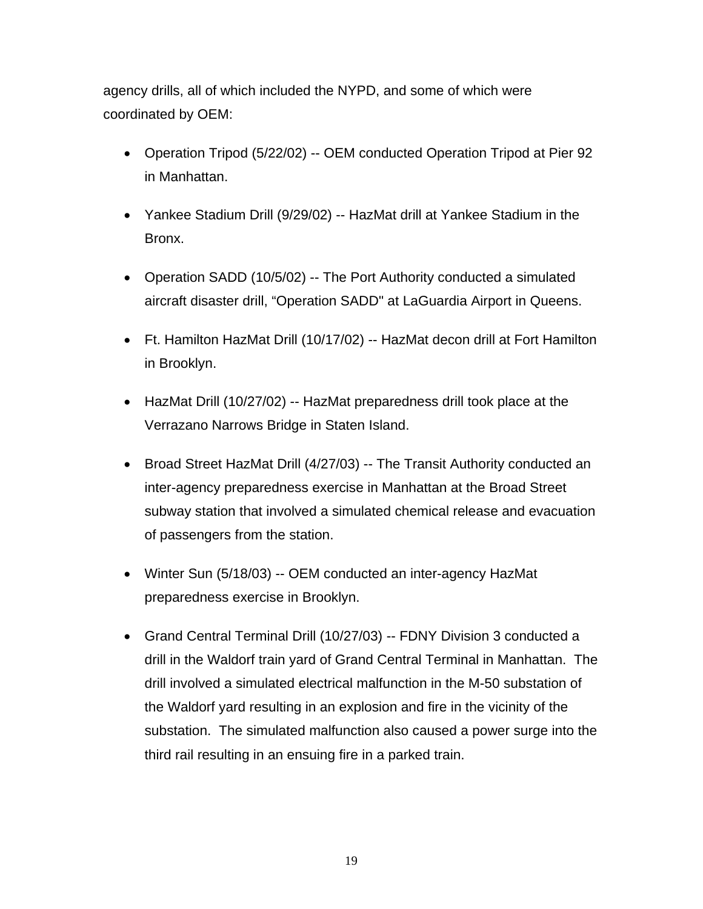agency drills, all of which included the NYPD, and some of which were coordinated by OEM:

- Operation Tripod (5/22/02) -- OEM conducted Operation Tripod at Pier 92 in Manhattan.
- Yankee Stadium Drill (9/29/02) -- HazMat drill at Yankee Stadium in the Bronx.
- Operation SADD (10/5/02) -- The Port Authority conducted a simulated aircraft disaster drill, "Operation SADD" at LaGuardia Airport in Queens.
- Ft. Hamilton HazMat Drill (10/17/02) -- HazMat decon drill at Fort Hamilton in Brooklyn.
- HazMat Drill (10/27/02) -- HazMat preparedness drill took place at the Verrazano Narrows Bridge in Staten Island.
- Broad Street HazMat Drill (4/27/03) -- The Transit Authority conducted an inter-agency preparedness exercise in Manhattan at the Broad Street subway station that involved a simulated chemical release and evacuation of passengers from the station.
- Winter Sun (5/18/03) -- OEM conducted an inter-agency HazMat preparedness exercise in Brooklyn.
- Grand Central Terminal Drill (10/27/03) -- FDNY Division 3 conducted a drill in the Waldorf train yard of Grand Central Terminal in Manhattan. The drill involved a simulated electrical malfunction in the M-50 substation of the Waldorf yard resulting in an explosion and fire in the vicinity of the substation. The simulated malfunction also caused a power surge into the third rail resulting in an ensuing fire in a parked train.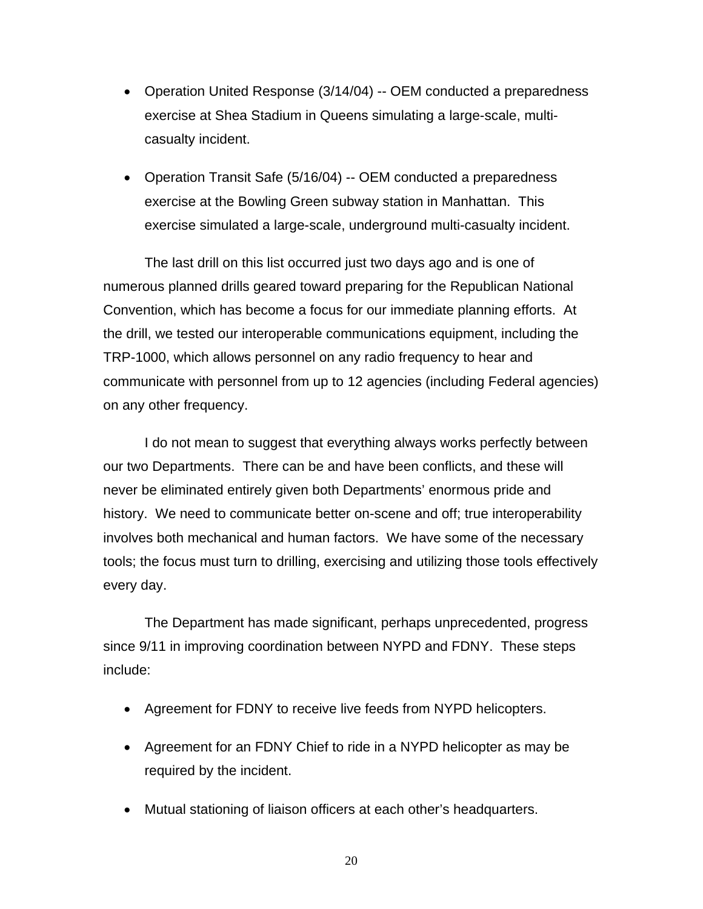- Operation United Response (3/14/04) -- OEM conducted a preparedness exercise at Shea Stadium in Queens simulating a large-scale, multicasualty incident.
- Operation Transit Safe (5/16/04) -- OEM conducted a preparedness exercise at the Bowling Green subway station in Manhattan. This exercise simulated a large-scale, underground multi-casualty incident.

The last drill on this list occurred just two days ago and is one of numerous planned drills geared toward preparing for the Republican National Convention, which has become a focus for our immediate planning efforts. At the drill, we tested our interoperable communications equipment, including the TRP-1000, which allows personnel on any radio frequency to hear and communicate with personnel from up to 12 agencies (including Federal agencies) on any other frequency.

I do not mean to suggest that everything always works perfectly between our two Departments. There can be and have been conflicts, and these will never be eliminated entirely given both Departments' enormous pride and history. We need to communicate better on-scene and off; true interoperability involves both mechanical and human factors. We have some of the necessary tools; the focus must turn to drilling, exercising and utilizing those tools effectively every day.

The Department has made significant, perhaps unprecedented, progress since 9/11 in improving coordination between NYPD and FDNY. These steps include:

- Agreement for FDNY to receive live feeds from NYPD helicopters.
- Agreement for an FDNY Chief to ride in a NYPD helicopter as may be required by the incident.
- Mutual stationing of liaison officers at each other's headquarters.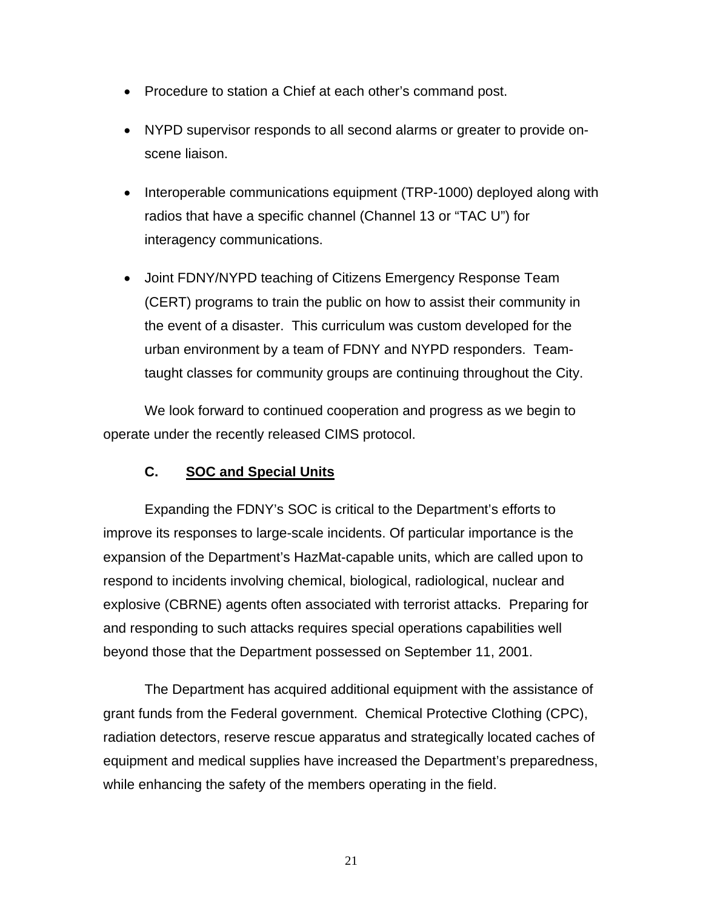- Procedure to station a Chief at each other's command post.
- NYPD supervisor responds to all second alarms or greater to provide onscene liaison.
- Interoperable communications equipment (TRP-1000) deployed along with radios that have a specific channel (Channel 13 or "TAC U") for interagency communications.
- Joint FDNY/NYPD teaching of Citizens Emergency Response Team (CERT) programs to train the public on how to assist their community in the event of a disaster. This curriculum was custom developed for the urban environment by a team of FDNY and NYPD responders. Teamtaught classes for community groups are continuing throughout the City.

We look forward to continued cooperation and progress as we begin to operate under the recently released CIMS protocol.

## **C. SOC and Special Units**

Expanding the FDNY's SOC is critical to the Department's efforts to improve its responses to large-scale incidents. Of particular importance is the expansion of the Department's HazMat-capable units, which are called upon to respond to incidents involving chemical, biological, radiological, nuclear and explosive (CBRNE) agents often associated with terrorist attacks. Preparing for and responding to such attacks requires special operations capabilities well beyond those that the Department possessed on September 11, 2001.

The Department has acquired additional equipment with the assistance of grant funds from the Federal government. Chemical Protective Clothing (CPC), radiation detectors, reserve rescue apparatus and strategically located caches of equipment and medical supplies have increased the Department's preparedness, while enhancing the safety of the members operating in the field.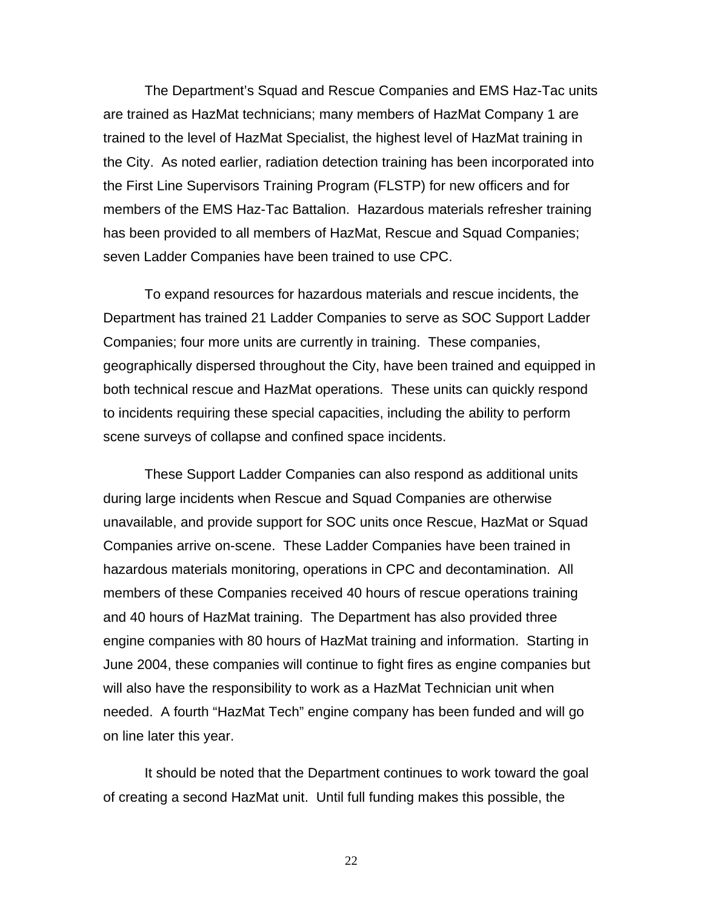The Department's Squad and Rescue Companies and EMS Haz-Tac units are trained as HazMat technicians; many members of HazMat Company 1 are trained to the level of HazMat Specialist, the highest level of HazMat training in the City. As noted earlier, radiation detection training has been incorporated into the First Line Supervisors Training Program (FLSTP) for new officers and for members of the EMS Haz-Tac Battalion. Hazardous materials refresher training has been provided to all members of HazMat, Rescue and Squad Companies; seven Ladder Companies have been trained to use CPC.

To expand resources for hazardous materials and rescue incidents, the Department has trained 21 Ladder Companies to serve as SOC Support Ladder Companies; four more units are currently in training. These companies, geographically dispersed throughout the City, have been trained and equipped in both technical rescue and HazMat operations. These units can quickly respond to incidents requiring these special capacities, including the ability to perform scene surveys of collapse and confined space incidents.

These Support Ladder Companies can also respond as additional units during large incidents when Rescue and Squad Companies are otherwise unavailable, and provide support for SOC units once Rescue, HazMat or Squad Companies arrive on-scene. These Ladder Companies have been trained in hazardous materials monitoring, operations in CPC and decontamination. All members of these Companies received 40 hours of rescue operations training and 40 hours of HazMat training. The Department has also provided three engine companies with 80 hours of HazMat training and information. Starting in June 2004, these companies will continue to fight fires as engine companies but will also have the responsibility to work as a HazMat Technician unit when needed. A fourth "HazMat Tech" engine company has been funded and will go on line later this year.

It should be noted that the Department continues to work toward the goal of creating a second HazMat unit. Until full funding makes this possible, the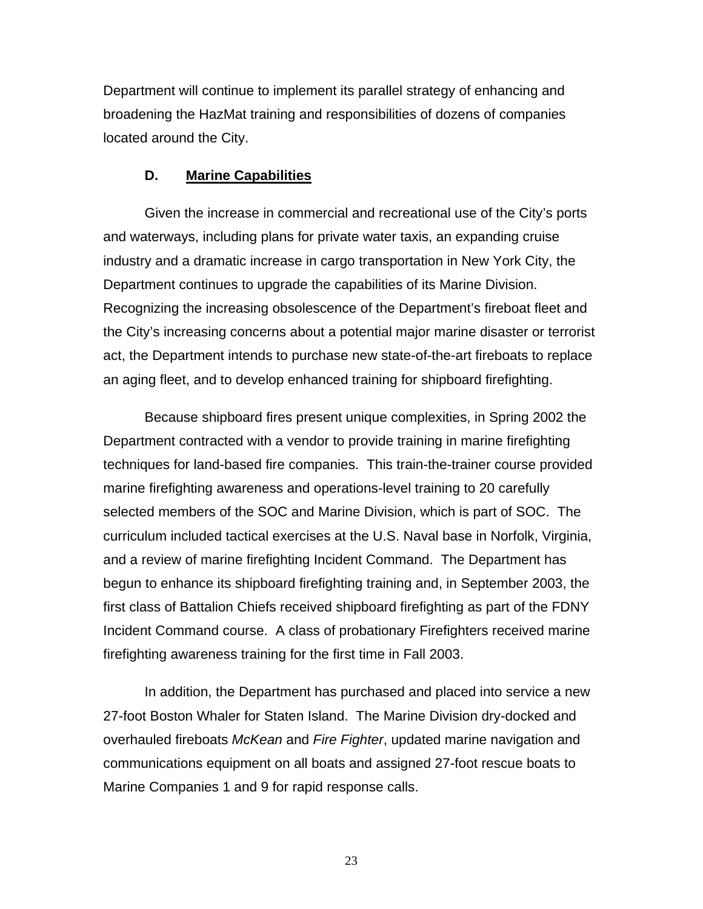Department will continue to implement its parallel strategy of enhancing and broadening the HazMat training and responsibilities of dozens of companies located around the City.

#### **D. Marine Capabilities**

Given the increase in commercial and recreational use of the City's ports and waterways, including plans for private water taxis, an expanding cruise industry and a dramatic increase in cargo transportation in New York City, the Department continues to upgrade the capabilities of its Marine Division. Recognizing the increasing obsolescence of the Department's fireboat fleet and the City's increasing concerns about a potential major marine disaster or terrorist act, the Department intends to purchase new state-of-the-art fireboats to replace an aging fleet, and to develop enhanced training for shipboard firefighting.

Because shipboard fires present unique complexities, in Spring 2002 the Department contracted with a vendor to provide training in marine firefighting techniques for land-based fire companies. This train-the-trainer course provided marine firefighting awareness and operations-level training to 20 carefully selected members of the SOC and Marine Division, which is part of SOC. The curriculum included tactical exercises at the U.S. Naval base in Norfolk, Virginia, and a review of marine firefighting Incident Command. The Department has begun to enhance its shipboard firefighting training and, in September 2003, the first class of Battalion Chiefs received shipboard firefighting as part of the FDNY Incident Command course. A class of probationary Firefighters received marine firefighting awareness training for the first time in Fall 2003.

In addition, the Department has purchased and placed into service a new 27-foot Boston Whaler for Staten Island. The Marine Division dry-docked and overhauled fireboats *McKean* and *Fire Fighter*, updated marine navigation and communications equipment on all boats and assigned 27-foot rescue boats to Marine Companies 1 and 9 for rapid response calls.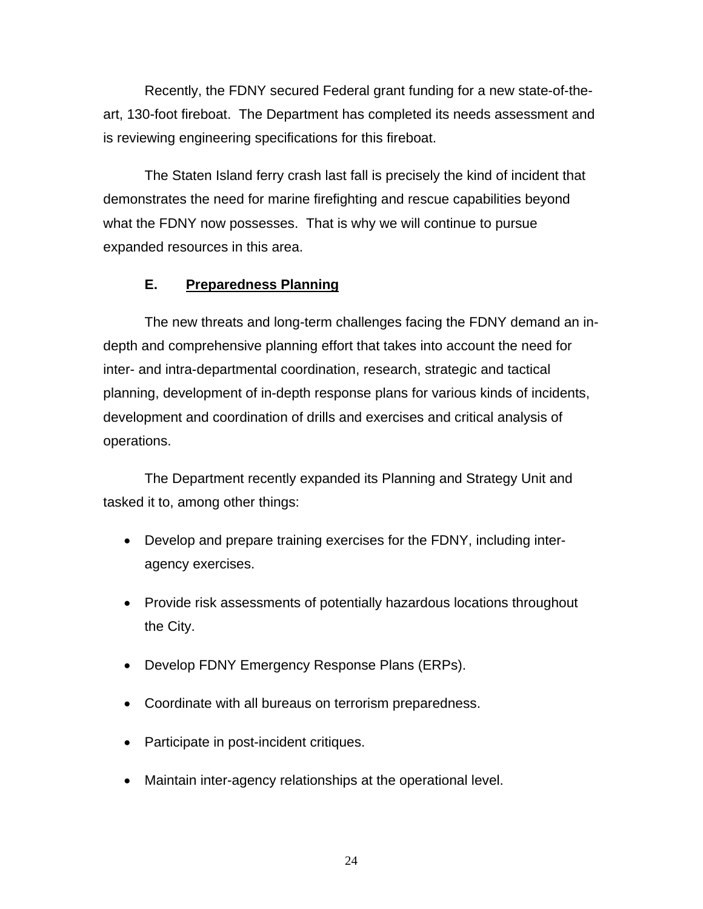Recently, the FDNY secured Federal grant funding for a new state-of-theart, 130-foot fireboat. The Department has completed its needs assessment and is reviewing engineering specifications for this fireboat.

The Staten Island ferry crash last fall is precisely the kind of incident that demonstrates the need for marine firefighting and rescue capabilities beyond what the FDNY now possesses. That is why we will continue to pursue expanded resources in this area.

## **E. Preparedness Planning**

The new threats and long-term challenges facing the FDNY demand an indepth and comprehensive planning effort that takes into account the need for inter- and intra-departmental coordination, research, strategic and tactical planning, development of in-depth response plans for various kinds of incidents, development and coordination of drills and exercises and critical analysis of operations.

The Department recently expanded its Planning and Strategy Unit and tasked it to, among other things:

- Develop and prepare training exercises for the FDNY, including interagency exercises.
- Provide risk assessments of potentially hazardous locations throughout the City.
- Develop FDNY Emergency Response Plans (ERPs).
- Coordinate with all bureaus on terrorism preparedness.
- Participate in post-incident critiques.
- Maintain inter-agency relationships at the operational level.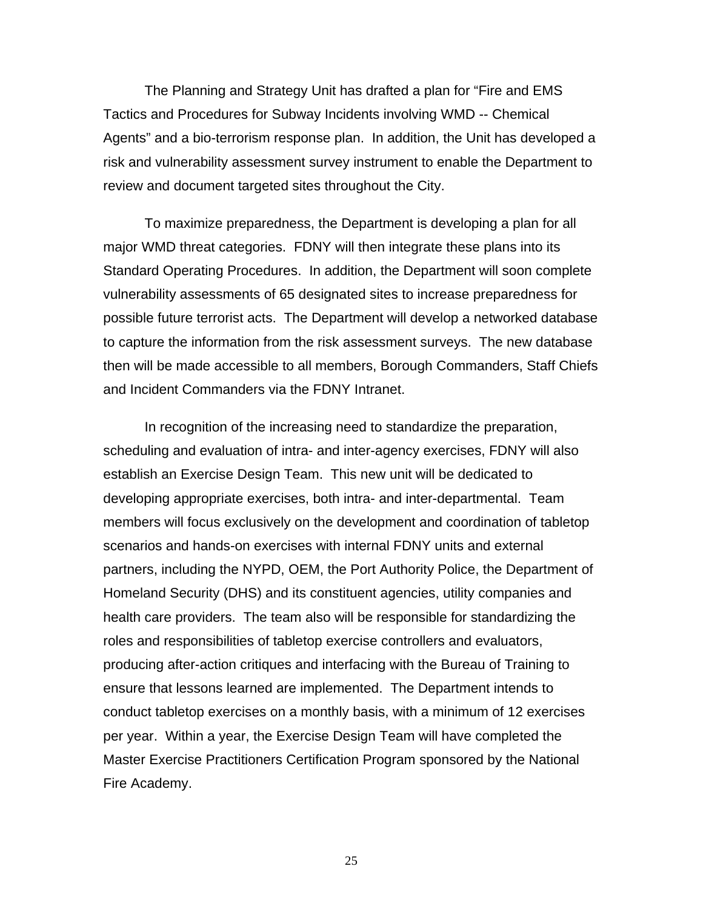The Planning and Strategy Unit has drafted a plan for "Fire and EMS Tactics and Procedures for Subway Incidents involving WMD -- Chemical Agents" and a bio-terrorism response plan. In addition, the Unit has developed a risk and vulnerability assessment survey instrument to enable the Department to review and document targeted sites throughout the City.

To maximize preparedness, the Department is developing a plan for all major WMD threat categories. FDNY will then integrate these plans into its Standard Operating Procedures. In addition, the Department will soon complete vulnerability assessments of 65 designated sites to increase preparedness for possible future terrorist acts. The Department will develop a networked database to capture the information from the risk assessment surveys. The new database then will be made accessible to all members, Borough Commanders, Staff Chiefs and Incident Commanders via the FDNY Intranet.

In recognition of the increasing need to standardize the preparation, scheduling and evaluation of intra- and inter-agency exercises, FDNY will also establish an Exercise Design Team. This new unit will be dedicated to developing appropriate exercises, both intra- and inter-departmental. Team members will focus exclusively on the development and coordination of tabletop scenarios and hands-on exercises with internal FDNY units and external partners, including the NYPD, OEM, the Port Authority Police, the Department of Homeland Security (DHS) and its constituent agencies, utility companies and health care providers. The team also will be responsible for standardizing the roles and responsibilities of tabletop exercise controllers and evaluators, producing after-action critiques and interfacing with the Bureau of Training to ensure that lessons learned are implemented. The Department intends to conduct tabletop exercises on a monthly basis, with a minimum of 12 exercises per year. Within a year, the Exercise Design Team will have completed the Master Exercise Practitioners Certification Program sponsored by the National Fire Academy.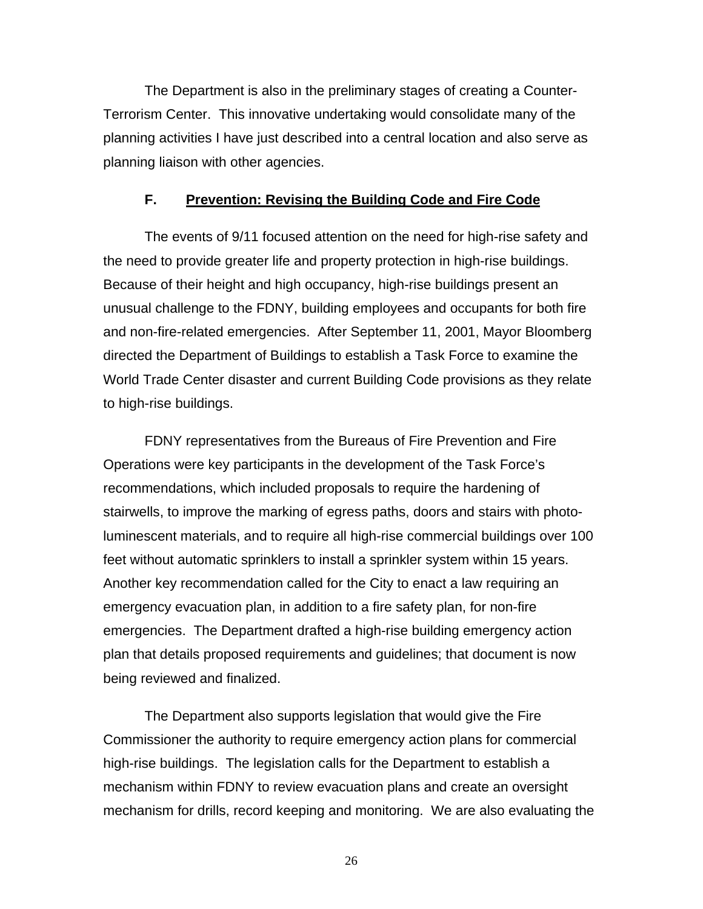The Department is also in the preliminary stages of creating a Counter-Terrorism Center. This innovative undertaking would consolidate many of the planning activities I have just described into a central location and also serve as planning liaison with other agencies.

#### **F. Prevention: Revising the Building Code and Fire Code**

The events of 9/11 focused attention on the need for high-rise safety and the need to provide greater life and property protection in high-rise buildings. Because of their height and high occupancy, high-rise buildings present an unusual challenge to the FDNY, building employees and occupants for both fire and non-fire-related emergencies. After September 11, 2001, Mayor Bloomberg directed the Department of Buildings to establish a Task Force to examine the World Trade Center disaster and current Building Code provisions as they relate to high-rise buildings.

FDNY representatives from the Bureaus of Fire Prevention and Fire Operations were key participants in the development of the Task Force's recommendations, which included proposals to require the hardening of stairwells, to improve the marking of egress paths, doors and stairs with photoluminescent materials, and to require all high-rise commercial buildings over 100 feet without automatic sprinklers to install a sprinkler system within 15 years. Another key recommendation called for the City to enact a law requiring an emergency evacuation plan, in addition to a fire safety plan, for non-fire emergencies. The Department drafted a high-rise building emergency action plan that details proposed requirements and guidelines; that document is now being reviewed and finalized.

The Department also supports legislation that would give the Fire Commissioner the authority to require emergency action plans for commercial high-rise buildings. The legislation calls for the Department to establish a mechanism within FDNY to review evacuation plans and create an oversight mechanism for drills, record keeping and monitoring. We are also evaluating the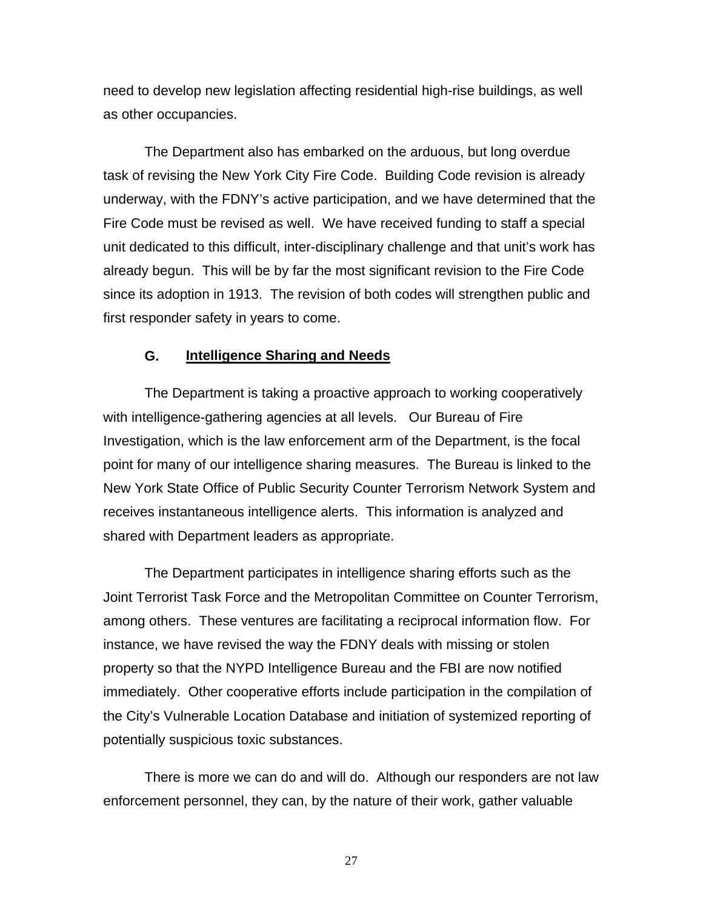need to develop new legislation affecting residential high-rise buildings, as well as other occupancies.

The Department also has embarked on the arduous, but long overdue task of revising the New York City Fire Code. Building Code revision is already underway, with the FDNY's active participation, and we have determined that the Fire Code must be revised as well. We have received funding to staff a special unit dedicated to this difficult, inter-disciplinary challenge and that unit's work has already begun. This will be by far the most significant revision to the Fire Code since its adoption in 1913. The revision of both codes will strengthen public and first responder safety in years to come.

#### **G. Intelligence Sharing and Needs**

The Department is taking a proactive approach to working cooperatively with intelligence-gathering agencies at all levels. Our Bureau of Fire Investigation, which is the law enforcement arm of the Department, is the focal point for many of our intelligence sharing measures. The Bureau is linked to the New York State Office of Public Security Counter Terrorism Network System and receives instantaneous intelligence alerts. This information is analyzed and shared with Department leaders as appropriate.

The Department participates in intelligence sharing efforts such as the Joint Terrorist Task Force and the Metropolitan Committee on Counter Terrorism, among others. These ventures are facilitating a reciprocal information flow. For instance, we have revised the way the FDNY deals with missing or stolen property so that the NYPD Intelligence Bureau and the FBI are now notified immediately. Other cooperative efforts include participation in the compilation of the City's Vulnerable Location Database and initiation of systemized reporting of potentially suspicious toxic substances.

There is more we can do and will do. Although our responders are not law enforcement personnel, they can, by the nature of their work, gather valuable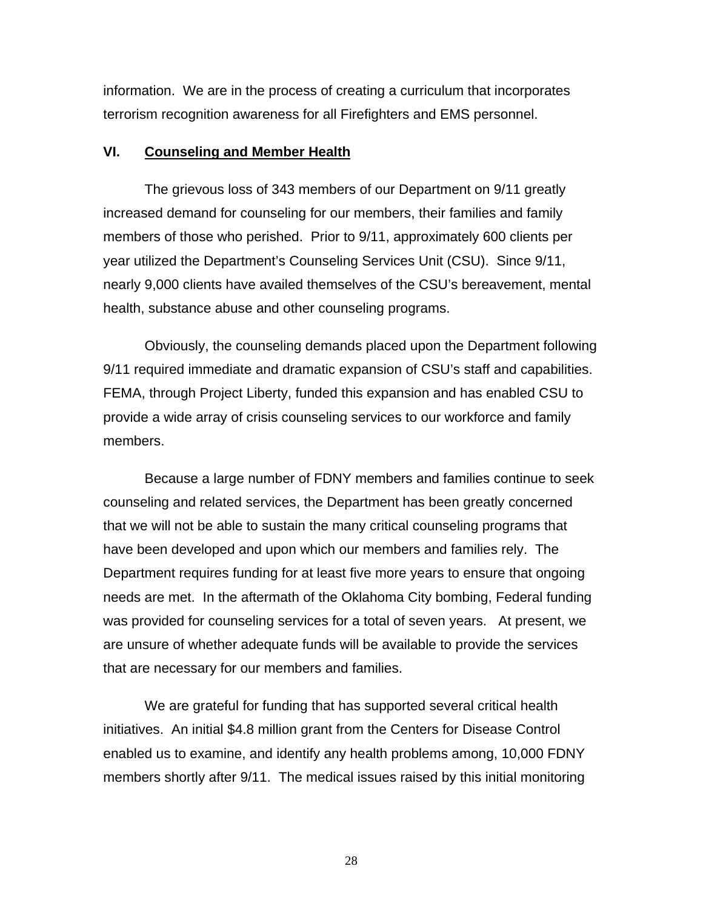information. We are in the process of creating a curriculum that incorporates terrorism recognition awareness for all Firefighters and EMS personnel.

#### **VI. Counseling and Member Health**

The grievous loss of 343 members of our Department on 9/11 greatly increased demand for counseling for our members, their families and family members of those who perished. Prior to 9/11, approximately 600 clients per year utilized the Department's Counseling Services Unit (CSU). Since 9/11, nearly 9,000 clients have availed themselves of the CSU's bereavement, mental health, substance abuse and other counseling programs.

Obviously, the counseling demands placed upon the Department following 9/11 required immediate and dramatic expansion of CSU's staff and capabilities. FEMA, through Project Liberty, funded this expansion and has enabled CSU to provide a wide array of crisis counseling services to our workforce and family members.

 Because a large number of FDNY members and families continue to seek counseling and related services, the Department has been greatly concerned that we will not be able to sustain the many critical counseling programs that have been developed and upon which our members and families rely. The Department requires funding for at least five more years to ensure that ongoing needs are met. In the aftermath of the Oklahoma City bombing, Federal funding was provided for counseling services for a total of seven years. At present, we are unsure of whether adequate funds will be available to provide the services that are necessary for our members and families.

 We are grateful for funding that has supported several critical health initiatives. An initial \$4.8 million grant from the Centers for Disease Control enabled us to examine, and identify any health problems among, 10,000 FDNY members shortly after 9/11. The medical issues raised by this initial monitoring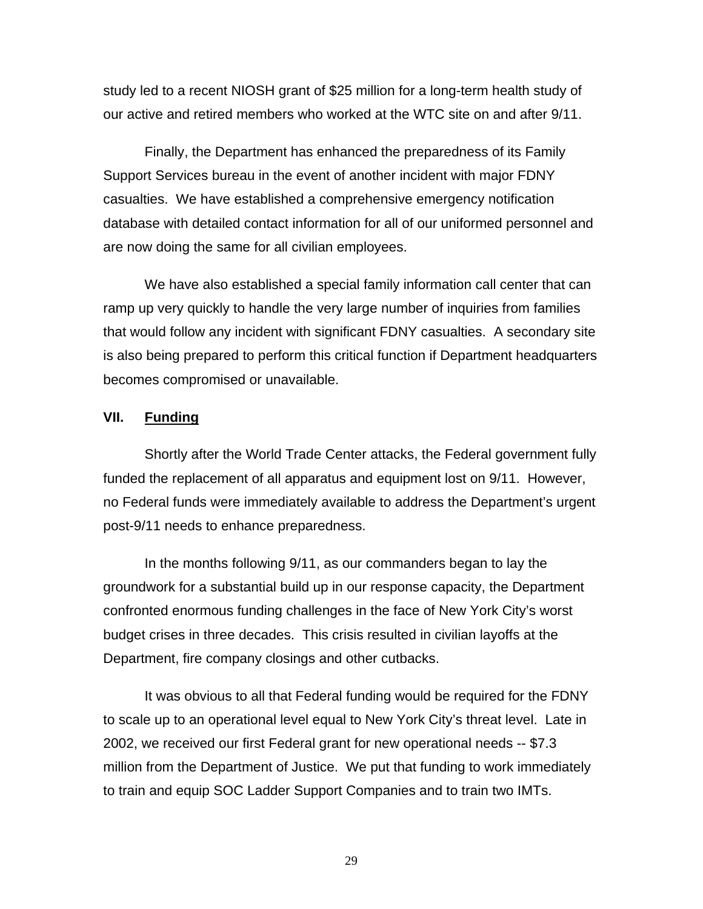study led to a recent NIOSH grant of \$25 million for a long-term health study of our active and retired members who worked at the WTC site on and after 9/11.

Finally, the Department has enhanced the preparedness of its Family Support Services bureau in the event of another incident with major FDNY casualties. We have established a comprehensive emergency notification database with detailed contact information for all of our uniformed personnel and are now doing the same for all civilian employees.

We have also established a special family information call center that can ramp up very quickly to handle the very large number of inquiries from families that would follow any incident with significant FDNY casualties. A secondary site is also being prepared to perform this critical function if Department headquarters becomes compromised or unavailable.

## **VII. Funding**

Shortly after the World Trade Center attacks, the Federal government fully funded the replacement of all apparatus and equipment lost on 9/11. However, no Federal funds were immediately available to address the Department's urgent post-9/11 needs to enhance preparedness.

In the months following 9/11, as our commanders began to lay the groundwork for a substantial build up in our response capacity, the Department confronted enormous funding challenges in the face of New York City's worst budget crises in three decades. This crisis resulted in civilian layoffs at the Department, fire company closings and other cutbacks.

It was obvious to all that Federal funding would be required for the FDNY to scale up to an operational level equal to New York City's threat level. Late in 2002, we received our first Federal grant for new operational needs -- \$7.3 million from the Department of Justice. We put that funding to work immediately to train and equip SOC Ladder Support Companies and to train two IMTs.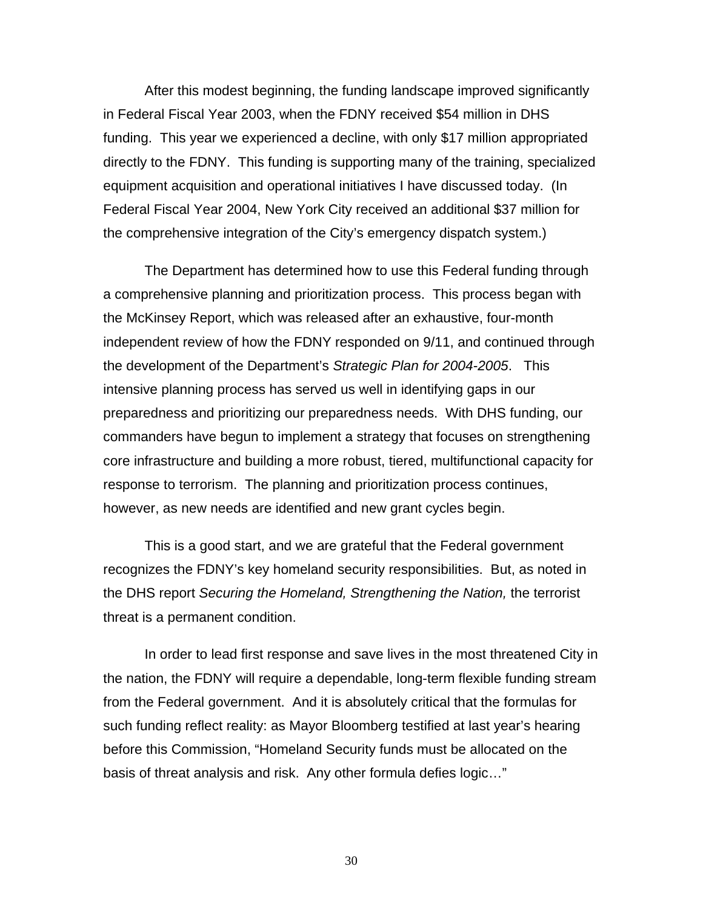After this modest beginning, the funding landscape improved significantly in Federal Fiscal Year 2003, when the FDNY received \$54 million in DHS funding. This year we experienced a decline, with only \$17 million appropriated directly to the FDNY. This funding is supporting many of the training, specialized equipment acquisition and operational initiatives I have discussed today. (In Federal Fiscal Year 2004, New York City received an additional \$37 million for the comprehensive integration of the City's emergency dispatch system.)

The Department has determined how to use this Federal funding through a comprehensive planning and prioritization process. This process began with the McKinsey Report, which was released after an exhaustive, four-month independent review of how the FDNY responded on 9/11, and continued through the development of the Department's *Strategic Plan for 2004-2005*. This intensive planning process has served us well in identifying gaps in our preparedness and prioritizing our preparedness needs. With DHS funding, our commanders have begun to implement a strategy that focuses on strengthening core infrastructure and building a more robust, tiered, multifunctional capacity for response to terrorism. The planning and prioritization process continues, however, as new needs are identified and new grant cycles begin.

This is a good start, and we are grateful that the Federal government recognizes the FDNY's key homeland security responsibilities. But, as noted in the DHS report *Securing the Homeland, Strengthening the Nation,* the terrorist threat is a permanent condition.

In order to lead first response and save lives in the most threatened City in the nation, the FDNY will require a dependable, long-term flexible funding stream from the Federal government. And it is absolutely critical that the formulas for such funding reflect reality: as Mayor Bloomberg testified at last year's hearing before this Commission, "Homeland Security funds must be allocated on the basis of threat analysis and risk. Any other formula defies logic…"